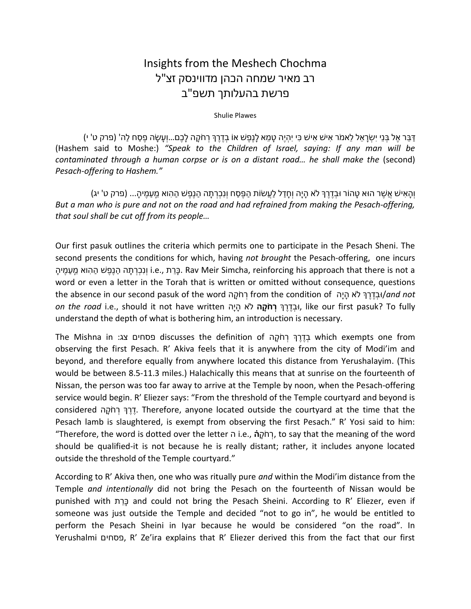## Insights from the Meshech Chochma רב מאיר שמחה הכהן מדווינסק זצ"ל פרשת בהעלותך תשפ"ב

## Shulie Plawes

ַדְּבֵּר אֵל בְּנֵי יִשְׂרַאֵל לֵאמֹר אִישׁ אִישׁ כִּי יִהְיֶה טָמֶא לַנֶפֶשׁ אוֹ בְדֶרֶךְ רְחֹקָה לַכֶם...וְעַשַׂה פֵסֶח לַה' (פרק ט' י) (Hashem said to Moshe:) "Speak to the Children of Israel, saying: If any man will be contaminated through a human corpse or is on a distant road… he shall make the (second) Pesach-offering to Hashem."

ֿוְהָאִישׁ אֲשֶׁר הוּא טָהוֹר וּבְדֶרֶךְ לֹא הָיָה וְחָדַל לַעֲשׂוֹת הַפֵּסַח וְנִכְרְתָה הַנֵפֵשׁ הַהְוא מֵעֲמֵיהָ... (פרק ט' יג) But a man who is pure and not on the road and had refrained from making the Pesach-offering, that soul shall be cut off from its people…

Our first pasuk outlines the criteria which permits one to participate in the Pesach Sheni. The second presents the conditions for which, having not brought the Pesach-offering, one incurs בְּרֵת הַנְפֵּשׁ הַהוּא מֵעֲמֵיה. Dav Meir Simcha, reinforcing his approach that there is not a . בְּר ִתה הַנָּפֵשׁ הַהוּא מֵעֲמֵיהַ word or even a letter in the Torah that is written or omitted without consequence, questions the absence in our second pasuk of the word רְחֹקָה from the condition of יהָדֶרֵךְּ לֹא הַיָּה land not on the road i.e., should it not have written וּבְדֵרֵךְ רְחֹמָה לֹא הַיָּה, like our first pasuk? To fully understand the depth of what is bothering him, an introduction is necessary.

The Mishna in :בְדֶרְ רְחֹקָה discusses the definition of בְדֶרְ רְחֹקָה which exempts one from observing the first Pesach. R' Akiva feels that it is anywhere from the city of Modi'im and beyond, and therefore equally from anywhere located this distance from Yerushalayim. (This would be between 8.5-11.3 miles.) Halachically this means that at sunrise on the fourteenth of Nissan, the person was too far away to arrive at the Temple by noon, when the Pesach-offering service would begin. R' Eliezer says: "From the threshold of the Temple courtyard and beyond is considered הֲרֵךְ רְחֹקָה. Therefore, anyone located outside the courtyard at the time that the Pesach lamb is slaughtered, is exempt from observing the first Pesach." R' Yosi said to him: "Therefore, the word is dotted over the letter i.e., הְמֹקָה, to say that the meaning of the word should be qualified-it is not because he is really distant; rather, it includes anyone located outside the threshold of the Temple courtyard."

According to R' Akiva then, one who was ritually pure and within the Modi'im distance from the Temple and intentionally did not bring the Pesach on the fourteenth of Nissan would be punished with רתֵכָּ and could not bring the Pesach Sheini. According to R' Eliezer, even if someone was just outside the Temple and decided "not to go in", he would be entitled to perform the Pesach Sheini in Iyar because he would be considered "on the road". In Yerushalmi פסחים, R' Ze'ira explains that R' Eliezer derived this from the fact that our first